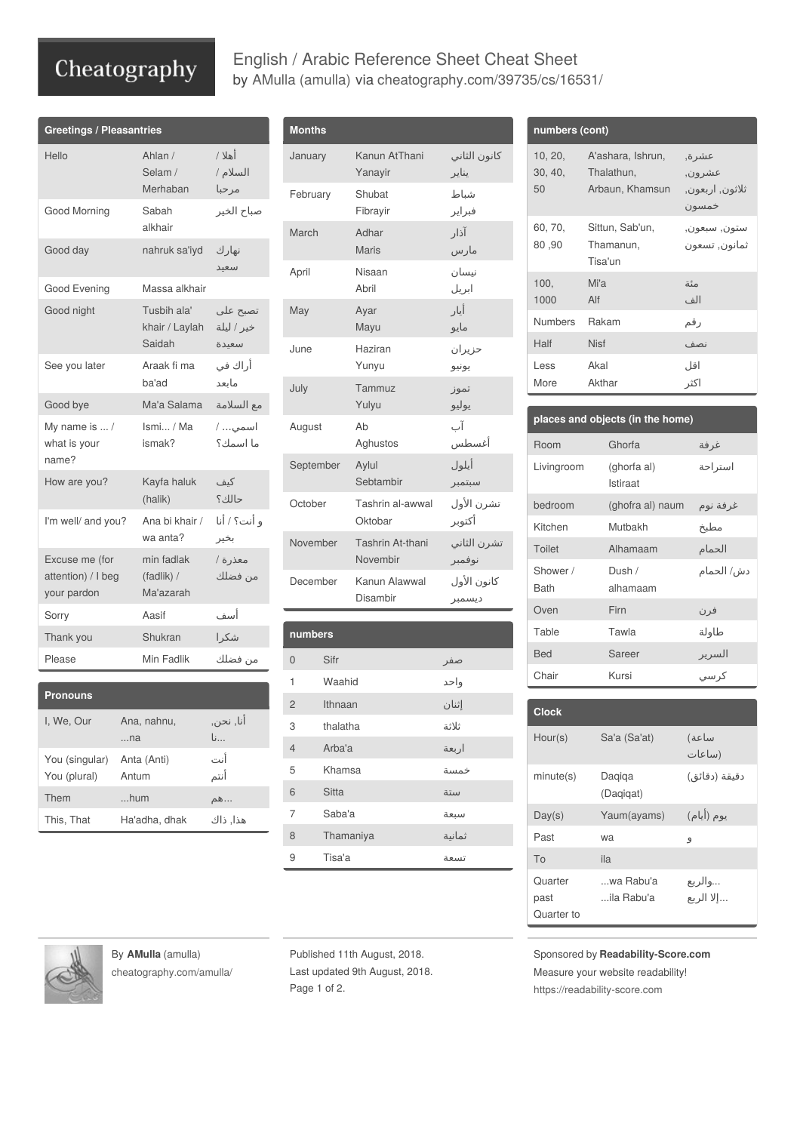## Cheatography

## English / Arabic Reference Sheet Cheat Sheet by AMulla [\(amulla\)](http://www.cheatography.com/amulla/) via [cheatography.com/39735/cs/16531/](http://www.cheatography.com/amulla/cheat-sheets/english-arabic-reference-sheet)

| <b>Greetings / Pleasantries</b>                     |                                         |                                 |
|-----------------------------------------------------|-----------------------------------------|---------------------------------|
| Hello                                               | Ahlan /<br>Selam /<br>Merhaban          | أهلا /<br>السلام /<br>مرحبا     |
| Good Morning                                        | Sabah<br>alkhair                        | صباح الخير                      |
| Good day                                            | nahruk sa'iyd                           | نهار ك<br>سعيد                  |
| Good Evening                                        | Massa alkhair                           |                                 |
| Good night                                          | Tusbih ala'<br>khair / Laylah<br>Saidah | تصبح علي<br>خير / ليلة<br>سعىدة |
| See you later                                       | Araak fi ma<br>ba'ad                    | أراك في<br>مانعد                |
| Good bye                                            | Ma'a Salama                             | مع السلامة                      |
| My name is  /<br>what is your<br>name?              | Ismi / Ma<br>ismak?                     | اسمي /<br>ما اسمك؟              |
| How are you?                                        | Kayfa haluk<br>(halik)                  | كىف<br>حالك؟                    |
| I'm well/ and you?                                  | Ana bi khair /<br>wa anta?              | و أنت؟ / أنا<br>بخير            |
| Excuse me (for<br>attention) / I beg<br>your pardon | min fadlak<br>(fadlik) /<br>Ma'azarah   | معذرة /<br>من فضلك              |
| Sorry                                               | Aasif                                   | أسف                             |
| Thank you                                           | Shukran                                 | شكرا                            |
| Please                                              | Min Fadlik                              | من فضلك                         |

| <b>Pronouns</b>                |                      |                                        |
|--------------------------------|----------------------|----------------------------------------|
| I. We. Our                     | Ana, nahnu,<br>na    | أنا, نحن,<br>$\mathsf{L}_{\mathsf{L}}$ |
| You (singular)<br>You (plural) | Anta (Anti)<br>Antum | أنت<br>أنتم                            |
| Them                           | hum                  | …هم                                    |
| This, That                     | Ha'adha, dhak        | هذا, ذاك                               |

| <b>Months</b> |                              |                       |
|---------------|------------------------------|-----------------------|
| January       | Kanun AtThani<br>Yanayir     | كانون الثاني<br>يناير |
| February      | Shubat<br>Fibrayir           | شباط<br>فبراير        |
| March         | Adhar<br>Maris               | آذار<br>مارس          |
| April         | Nisaan<br>Abril              | نيسان<br>ابريل        |
| May           | Ayar<br>Mayu                 | أيار<br>مايو          |
| June          | Haziran<br>Yunyu             | حزيران<br>يونيو       |
| July          | Tammuz<br>Yulyu              | تموز<br>يوليو         |
| August        | Ah<br>Aghustos               | آب<br>أغسطس           |
| September     | Aylul<br>Sebtambir           | أيلول<br>سبتمبر       |
| October       | Tashrin al-awwal<br>Oktobar  | تشرن الأول<br>أكتوبر  |
| November      | Tashrin At-thani<br>Novembir | تشرن الثاني<br>نوفمبر |
| December      | Kanun Alawwal<br>Disambir    | كانون الأول<br>ديسمبر |

| numbers        |           |             |
|----------------|-----------|-------------|
| $\Omega$       | Sifr      |             |
| 1              | Waahid    | صفر<br>واحد |
| $\overline{2}$ | Ithnaan   | إثنان       |
| 3              | thalatha  | ثلاثة       |
| $\overline{4}$ | Arba'a    | اربعة       |
| 5              | Khamsa    | خمسة        |
| 6              | Sitta     | ستة         |
| 7              | Saba'a    | سبعة        |
| 8              | Thamaniya | ثمانية      |
| 9              | Tisa'a    | تسعة        |

| numbers (cont)           |                                                    |                                               |
|--------------------------|----------------------------------------------------|-----------------------------------------------|
| 10, 20,<br>30, 40,<br>50 | A'ashara, Ishrun,<br>Thalathun,<br>Arbaun, Khamsun | عشر ة,<br>عشر ون,<br>ثلاثون, اربعون,<br>خمسون |
| 60, 70,<br>80,90         | Sittun, Sab'un,<br>Thamanun,<br>Tisa'un            | ستون, سبعون,<br>ثمانون, تسعون                 |
| 100.<br>1000             | Mi'a<br>Alf                                        | مئة<br>الف                                    |
| Numbers                  | Rakam                                              | رقم                                           |
| Half                     | <b>Nisf</b>                                        | نصف                                           |
| Less                     | Akal                                               | اقا ،                                         |

اكثر

More

Akthar

| places and objects (in the home) |                                |            |
|----------------------------------|--------------------------------|------------|
| Room                             | Ghorfa                         | غرفة       |
| Livingroom                       | (ghorfa al)<br><b>Istiraat</b> | استر احة   |
| bedroom                          | (ghofra al) naum               | غرفة نوم   |
| Kitchen                          | Muthakh                        | مطبخ       |
| Toilet                           | Alhamaam                       | الحمام     |
| Shower /<br><b>Bath</b>          | Dush /<br>alhamaam             | دش/ الحمام |
| Oven                             | Firn                           | فر ن       |
| Table                            | Tawla                          | طاولة      |
| <b>Bed</b>                       | Sareer                         | السرير     |
| Chair                            | Kursi                          | کر سی      |

| <b>Clock</b>                  |                         |                       |
|-------------------------------|-------------------------|-----------------------|
| Hour(s)                       | Sa'a (Sa'at)            | ساعة)<br>(ساعات       |
| minute(s)                     | Dagiga<br>(Dagigat)     | دقيقة (دقائق)         |
| Day(s)                        | Yaum(ayams)             | يوم (أيام)            |
| Past                          | wa                      | 9                     |
| To                            | ila                     |                       |
| Quarter<br>past<br>Quarter to | wa Rabu'a<br>ila Rabu'a | والريع<br>… إلا الربع |

By **AMulla** (amulla) [cheatography.com/amulla/](http://www.cheatography.com/amulla/)

Published 11th August, 2018. Last updated 9th August, 2018. Page 1 of 2.

Sponsored by **Readability-Score.com** Measure your website readability! <https://readability-score.com>